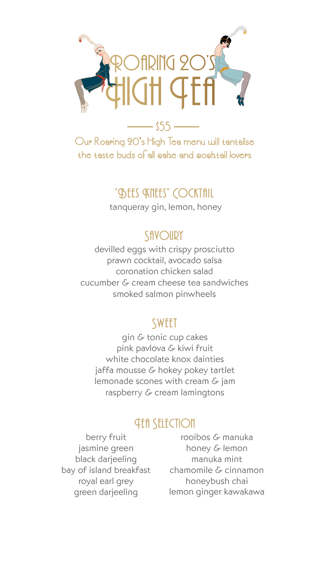

Our Roaring 20's High Tea menu will tantalise the taste buds of all cake and cocktail lovers

#### "**BEES KNEES" COCKTAIL**

tanqueray gin, lemon, honey

#### SAVOURY

devilled eggs with crispy prosciutto prawn cocktail, avocado salsa coronation chicken salad cucumber & cream cheese tea sandwiches smoked salmon pinwheels

#### **SWEET**

gin & tonic cup cakes pink pavlova & kiwi fruit white chocolate knox dainties jaffa mousse & hokey pokey tartlet lemonade scones with cream & jam raspberry & cream lamingtons

#### *Ath StltCTION*

berry fruit jasmine green black darjeeling bay of island breakfast royal earl grey green darjeeling

rooibos & manuka honey & lemon manuka mint chamomile & cinnamon honeybush chai lemon ginger kawakawa